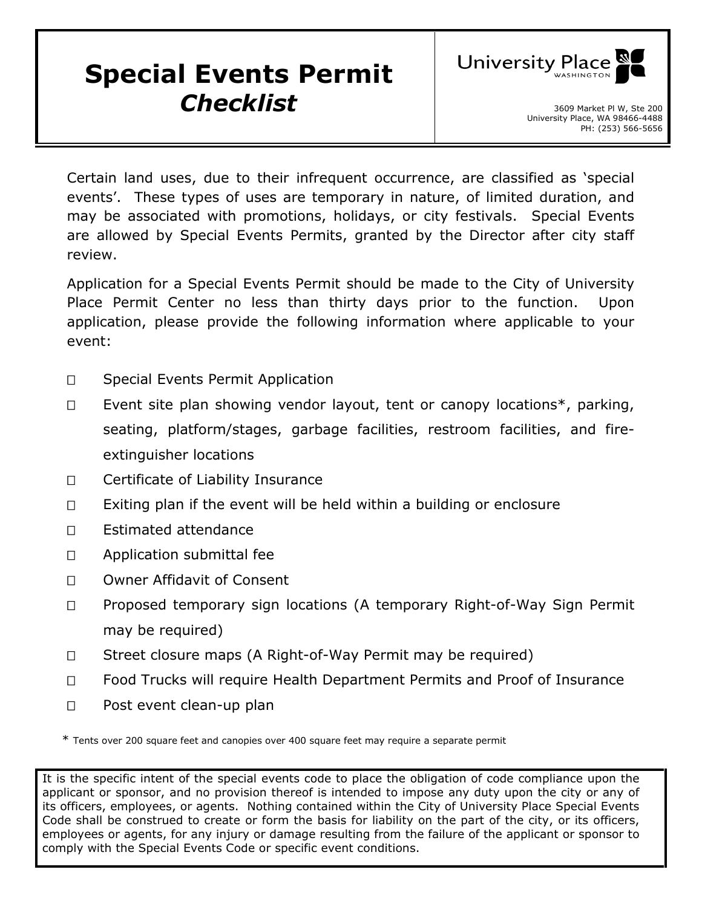## **Special Events Permit Checklist** 3609 Market Pl W, Ste 200



Certain land uses, due to their infrequent occurrence, are classified as 'special events'. These types of uses are temporary in nature, of limited duration, and may be associated with promotions, holidays, or city festivals. Special Events are allowed by Special Events Permits, granted by the Director after city staff review.

Application for a Special Events Permit should be made to the City of University Place Permit Center no less than thirty days prior to the function. Upon application, please provide the following information where applicable to your event:

- □ Special Events Permit Application
- $\Box$  Event site plan showing vendor layout, tent or canopy locations\*, parking, seating, platform/stages, garbage facilities, restroom facilities, and fireextinguisher locations
- □ Certificate of Liability Insurance
- $\Box$  Exiting plan if the event will be held within a building or enclosure
- □ Estimated attendance
- □ Application submittal fee
- □ Owner Affidavit of Consent
- □ Proposed temporary sign locations (A temporary Right-of-Way Sign Permit may be required)
- □ Street closure maps (A Right-of-Way Permit may be required)
- □ Food Trucks will require Health Department Permits and Proof of Insurance
- D Post event clean-up plan

\* Tents over 200 square feet and canopies over 400 square feet may require a separate permit

It is the specific intent of the special events code to place the obligation of code compliance upon the applicant or sponsor, and no provision thereof is intended to impose any duty upon the city or any of its officers, employees, or agents. Nothing contained within the City of University Place Special Events Code shall be construed to create or form the basis for liability on the part of the city, or its officers, employees or agents, for any injury or damage resulting from the failure of the applicant or sponsor to comply with the Special Events Code or specific event conditions.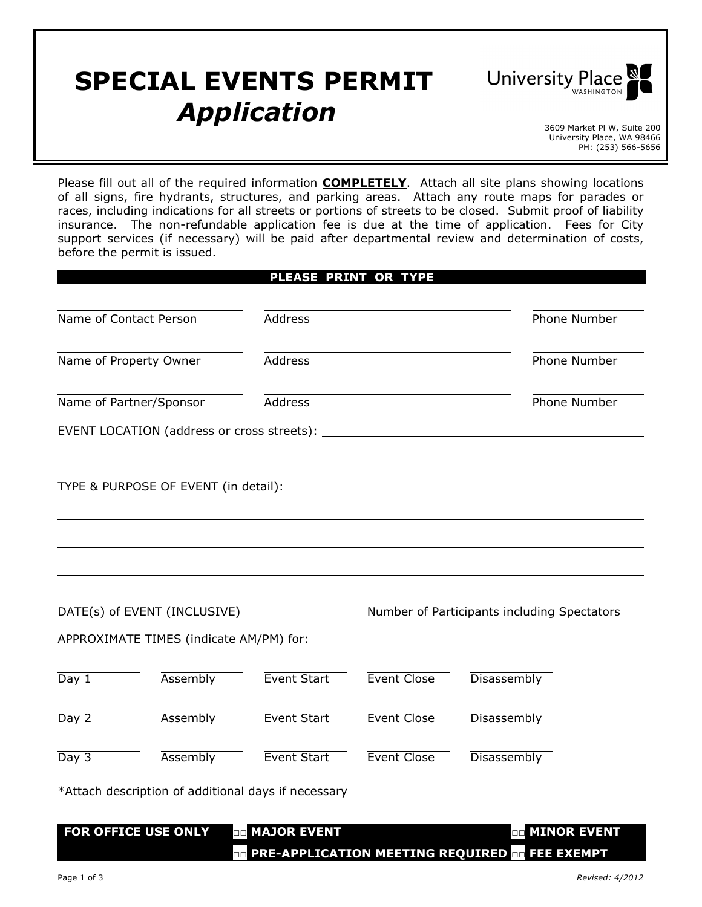## **SPECIAL EVENTS PERMIT** *Application* 1997



University Place, WA 98466 PH: (253) 566-5656

Please fill out all of the required information **COMPLETELY**. Attach all site plans showing locations of all signs, fire hydrants, structures, and parking areas. Attach any route maps for parades or races, including indications for all streets or portions of streets to be closed. Submit proof of liability insurance. The non-refundable application fee is due at the time of application. Fees for City support services (if necessary) will be paid after departmental review and determination of costs, before the permit is issued.

|                         | Name of Contact Person                              | <b>Address</b>     |                    | Phone Number                                |
|-------------------------|-----------------------------------------------------|--------------------|--------------------|---------------------------------------------|
|                         | Name of Property Owner                              | Address            |                    | Phone Number                                |
|                         | Name of Partner/Sponsor                             | Address            |                    | Phone Number                                |
|                         |                                                     |                    |                    |                                             |
|                         |                                                     |                    |                    |                                             |
|                         |                                                     |                    |                    |                                             |
|                         | DATE(s) of EVENT (INCLUSIVE)                        |                    |                    | Number of Participants including Spectators |
|                         | APPROXIMATE TIMES (indicate AM/PM) for:             |                    |                    |                                             |
|                         | Assembly                                            | Event Start        | Event Close        | Disassembly                                 |
|                         | Assembly                                            | Event Start        | Event Close        | Disassembly                                 |
|                         | Assembly                                            | <b>Event Start</b> | <b>Event Close</b> | Disassembly                                 |
| Day 1<br>Day 2<br>Day 3 | *Attach description of additional days if necessary |                    |                    |                                             |

**□□ PRE-APPLICATION MEETING REQUIRED □□ FEE EXEMPT**

Page 1 of 3 *Revised: 4/2012*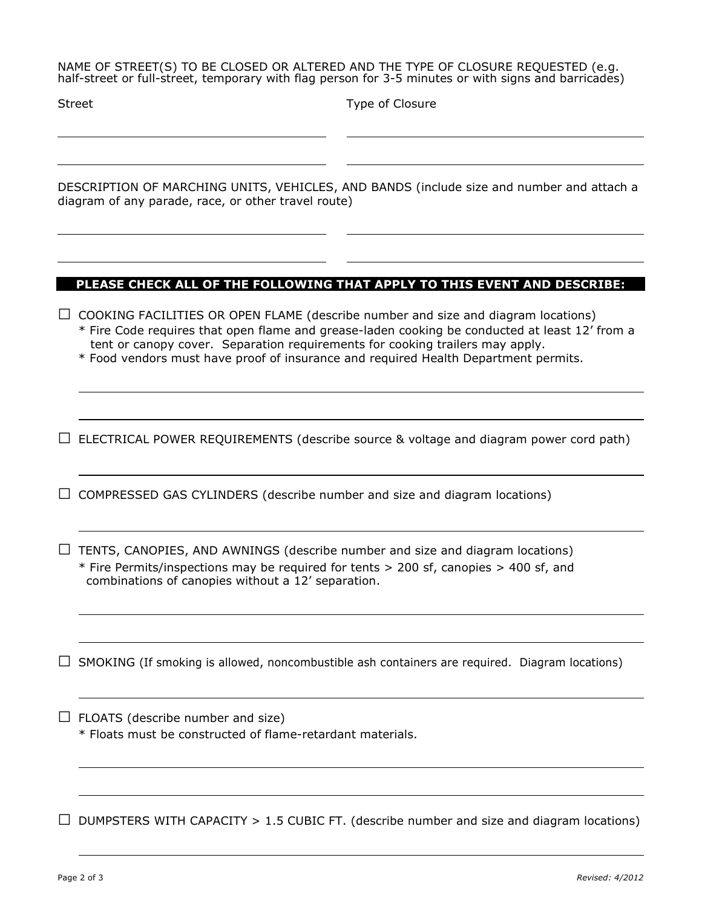NAME OF STREET(S) TO BE CLOSED OR ALTERED AND THE TYPE OF CLOSURE REQUESTED (e.g. half-street or full-street, temporary with flag person for 3-5 minutes or with signs and barricades)

Type of Closure

DESCRIPTION OF MARCHING UNITS, VEHICLES, AND BANDS (include size and number and attach a diagram of any parade, race, or other travel route)

## **PLEASE CHECK ALL OF THE FOLLOWING THAT APPLY TO THIS EVENT AND DESCRIBE:**

**□** COOKING FACILITIES OR OPEN FLAME (describe number and size and diagram locations)

\* Fire Code requires that open flame and grease-laden cooking be conducted at least 12' from a tent or canopy cover. Separation requirements for cooking trailers may apply.

\* Food vendors must have proof of insurance and required Health Department permits.

**□** ELECTRICAL POWER REQUIREMENTS (describe source & voltage and diagram power cord path)

**□** COMPRESSED GAS CYLINDERS (describe number and size and diagram locations)

**□** TENTS, CANOPIES, AND AWNINGS (describe number and size and diagram locations) \* Fire Permits/inspections may be required for tents > 200 sf, canopies > 400 sf, and combinations of canopies without a 12' separation.

**□** SMOKING (If smoking is allowed, noncombustible ash containers are required. Diagram locations)

**□** FLOATS (describe number and size)

\* Floats must be constructed of flame-retardant materials.

**□** DUMPSTERS WITH CAPACITY > 1.5 CUBIC FT. (describe number and size and diagram locations)